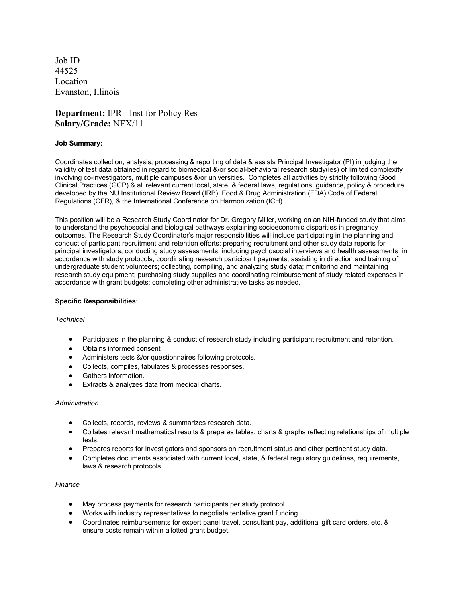Job ID 44525 Location Evanston, Illinois

# **Department:** IPR - Inst for Policy Res **Salary/Grade:** NEX/11

# **Job Summary:**

Coordinates collection, analysis, processing & reporting of data & assists Principal Investigator (PI) in judging the validity of test data obtained in regard to biomedical &/or social-behavioral research study(ies) of limited complexity involving co-investigators, multiple campuses &/or universities. Completes all activities by strictly following Good Clinical Practices (GCP) & all relevant current local, state, & federal laws, regulations, guidance, policy & procedure developed by the NU Institutional Review Board (IRB), Food & Drug Administration (FDA) Code of Federal Regulations (CFR), & the International Conference on Harmonization (ICH).

This position will be a Research Study Coordinator for Dr. Gregory Miller, working on an NIH-funded study that aims to understand the psychosocial and biological pathways explaining socioeconomic disparities in pregnancy outcomes. The Research Study Coordinator's major responsibilities will include participating in the planning and conduct of participant recruitment and retention efforts; preparing recruitment and other study data reports for principal investigators; conducting study assessments, including psychosocial interviews and health assessments, in accordance with study protocols; coordinating research participant payments; assisting in direction and training of undergraduate student volunteers; collecting, compiling, and analyzing study data; monitoring and maintaining research study equipment; purchasing study supplies and coordinating reimbursement of study related expenses in accordance with grant budgets; completing other administrative tasks as needed.

## **Specific Responsibilities**:

#### *Technical*

- Participates in the planning & conduct of research study including participant recruitment and retention.
- Obtains informed consent
- Administers tests &/or questionnaires following protocols.
- Collects, compiles, tabulates & processes responses.
- Gathers information.
- Extracts & analyzes data from medical charts.

#### *Administration*

- Collects, records, reviews & summarizes research data.
- Collates relevant mathematical results & prepares tables, charts & graphs reflecting relationships of multiple tests.
- Prepares reports for investigators and sponsors on recruitment status and other pertinent study data.
- Completes documents associated with current local, state, & federal regulatory guidelines, requirements, laws & research protocols.

## *Finance*

- May process payments for research participants per study protocol.
- Works with industry representatives to negotiate tentative grant funding.
- Coordinates reimbursements for expert panel travel, consultant pay, additional gift card orders, etc. & ensure costs remain within allotted grant budget.